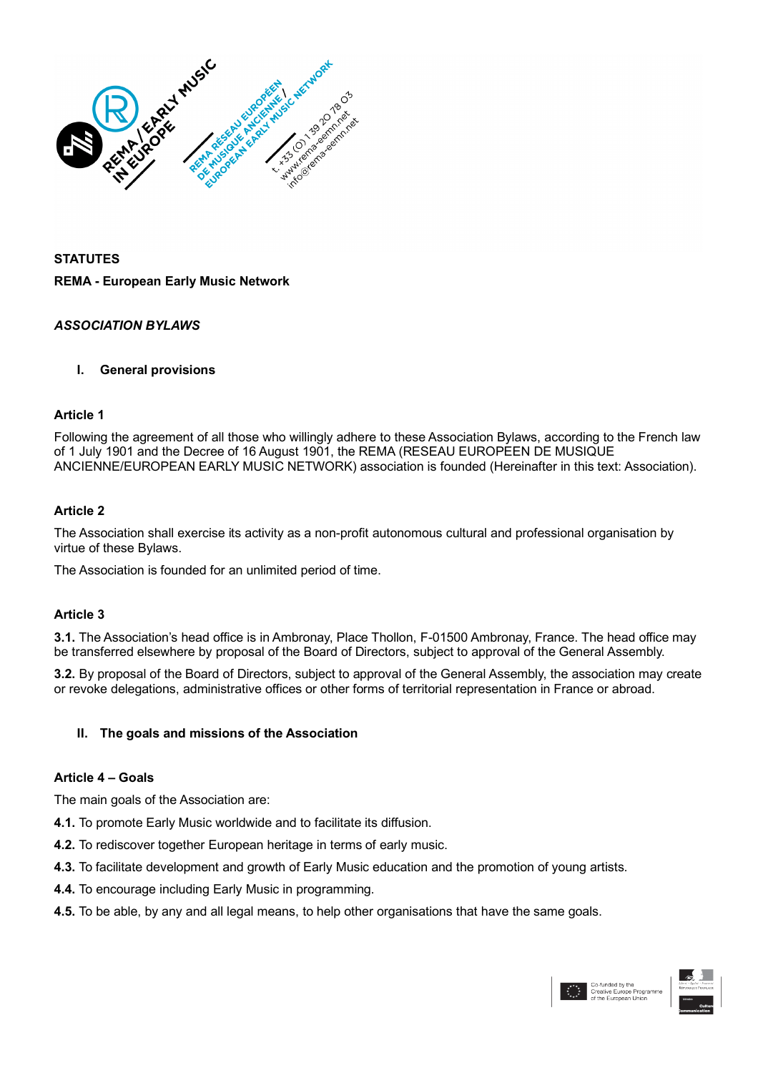

# **STATUTES REMA - European Early Music Network**

# *ASSOCIATION BYLAWS*

#### **I. General provisions**

#### **Article 1**

Following the agreement of all those who willingly adhere to these Association Bylaws, according to the French law of 1 July 1901 and the Decree of 16 August 1901, the REMA (RESEAU EUROPEEN DE MUSIQUE ANCIENNE/EUROPEAN EARLY MUSIC NETWORK) association is founded (Hereinafter in this text: Association).

#### **Article 2**

The Association shall exercise its activity as a non-profit autonomous cultural and professional organisation by virtue of these Bylaws.

The Association is founded for an unlimited period of time.

#### **Article 3**

**3.1.** The Association's head office is in Ambronay, Place Thollon, F-01500 Ambronay, France. The head office may be transferred elsewhere by proposal of the Board of Directors, subject to approval of the General Assembly.

**3.2.** By proposal of the Board of Directors, subject to approval of the General Assembly, the association may create or revoke delegations, administrative offices or other forms of territorial representation in France or abroad.

#### **II. The goals and missions of the Association**

#### **Article 4 – Goals**

The main goals of the Association are:

- **4.1.** To promote Early Music worldwide and to facilitate its diffusion.
- **4.2.** To rediscover together European heritage in terms of early music.
- **4.3.** To facilitate development and growth of Early Music education and the promotion of young artists.
- **4.4.** To encourage including Early Music in programming.
- **4.5.** To be able, by any and all legal means, to help other organisations that have the same goals.

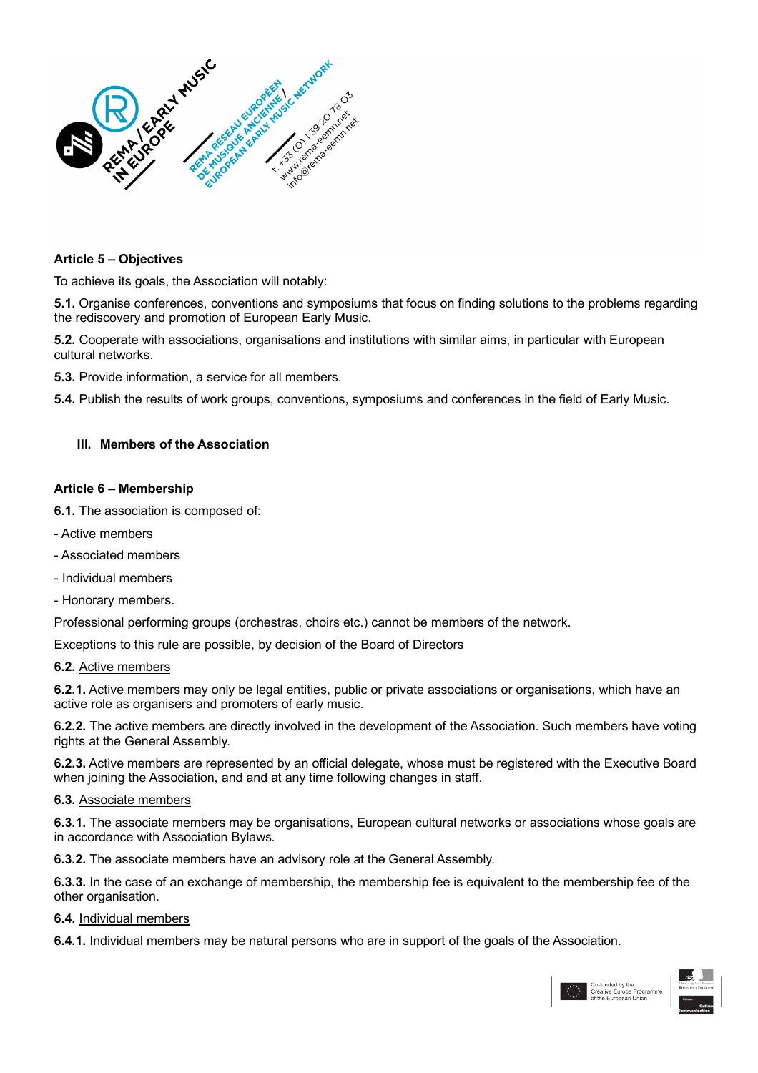

#### **Article 5 – Objectives**

To achieve its goals, the Association will notably:

**5.1.** Organise conferences, conventions and symposiums that focus on finding solutions to the problems regarding the rediscovery and promotion of European Early Music.

**5.2.** Cooperate with associations, organisations and institutions with similar aims, in particular with European cultural networks.

**5.3.** Provide information, a service for all members.

**5.4.** Publish the results of work groups, conventions, symposiums and conferences in the field of Early Music.

## **III. Members of the Association**

#### **Article 6 – Membership**

**6.1.** The association is composed of:

- Active members
- Associated members
- Individual members
- Honorary members.

Professional performing groups (orchestras, choirs etc.) cannot be members of the network.

Exceptions to this rule are possible, by decision of the Board of Directors

#### **6.2.** Active members

**6.2.1.** Active members may only be legal entities, public or private associations or organisations, which have an active role as organisers and promoters of early music.

**6.2.2.** The active members are directly involved in the development of the Association. Such members have voting rights at the General Assembly.

**6.2.3.** Active members are represented by an official delegate, whose must be registered with the Executive Board when joining the Association, and and at any time following changes in staff.

#### **6.3.** Associate members

**6.3.1.** The associate members may be organisations, European cultural networks or associations whose goals are in accordance with Association Bylaws.

**6.3.2.** The associate members have an advisory role at the General Assembly.

**6.3.3.** In the case of an exchange of membership, the membership fee is equivalent to the membership fee of the other organisation.

**6.4.** Individual members

**6.4.1.** Individual members may be natural persons who are in support of the goals of the Association.



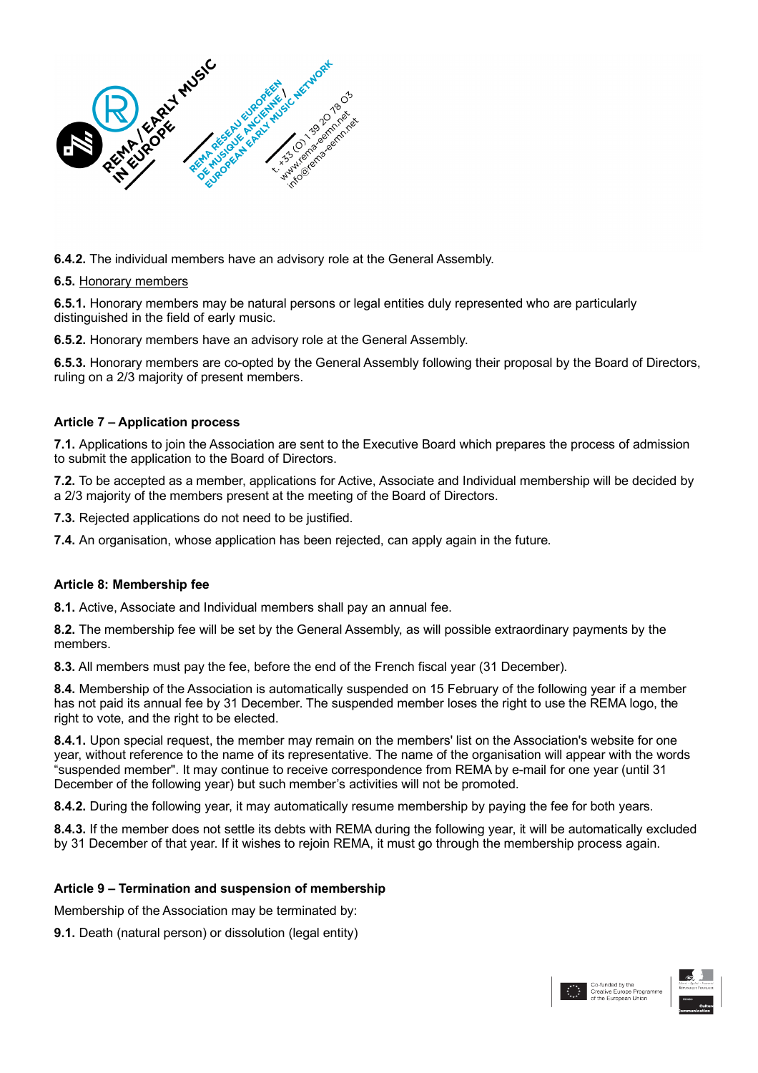

**6.4.2.** The individual members have an advisory role at the General Assembly.

#### **6.5.** Honorary members

**6.5.1.** Honorary members may be natural persons or legal entities duly represented who are particularly distinguished in the field of early music.

**6.5.2.** Honorary members have an advisory role at the General Assembly.

**6.5.3.** Honorary members are co-opted by the General Assembly following their proposal by the Board of Directors, ruling on a 2/3 majority of present members.

# **Article 7 – Application process**

**7.1.** Applications to join the Association are sent to the Executive Board which prepares the process of admission to submit the application to the Board of Directors.

**7.2.** To be accepted as a member, applications for Active, Associate and Individual membership will be decided by a 2/3 majority of the members present at the meeting of the Board of Directors.

**7.3.** Rejected applications do not need to be justified.

**7.4.** An organisation, whose application has been rejected, can apply again in the future.

#### **Article 8: Membership fee**

**8.1.** Active, Associate and Individual members shall pay an annual fee.

**8.2.** The membership fee will be set by the General Assembly, as will possible extraordinary payments by the members.

**8.3.** All members must pay the fee, before the end of the French fiscal year (31 December).

**8.4.** Membership of the Association is automatically suspended on 15 February of the following year if a member has not paid its annual fee by 31 December. The suspended member loses the right to use the REMA logo, the right to vote, and the right to be elected.

**8.4.1.** Upon special request, the member may remain on the members' list on the Association's website for one year, without reference to the name of its representative. The name of the organisation will appear with the words "suspended member". It may continue to receive correspondence from REMA by e-mail for one year (until 31 December of the following year) but such member's activities will not be promoted.

**8.4.2.** During the following year, it may automatically resume membership by paying the fee for both years.

**8.4.3.** If the member does not settle its debts with REMA during the following year, it will be automatically excluded by 31 December of that year. If it wishes to rejoin REMA, it must go through the membership process again.

#### **Article 9 – Termination and suspension of membership**

Membership of the Association may be terminated by:

**9.1.** Death (natural person) or dissolution (legal entity)

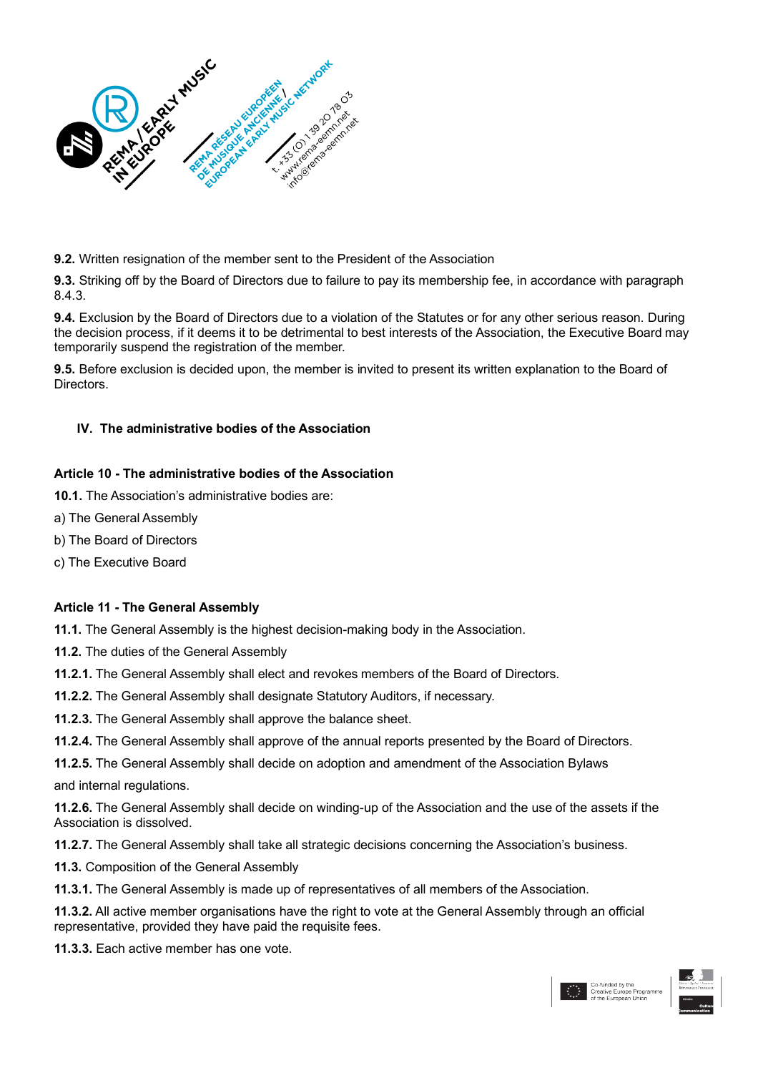

**9.2.** Written resignation of the member sent to the President of the Association

**9.3.** Striking off by the Board of Directors due to failure to pay its membership fee, in accordance with paragraph 8.4.3.

**9.4.** Exclusion by the Board of Directors due to a violation of the Statutes or for any other serious reason. During the decision process, if it deems it to be detrimental to best interests of the Association, the Executive Board may temporarily suspend the registration of the member.

**9.5.** Before exclusion is decided upon, the member is invited to present its written explanation to the Board of Directors.

# **IV. The administrative bodies of the Association**

## **Article 10 - The administrative bodies of the Association**

**10.1.** The Association's administrative bodies are:

- a) The General Assembly
- b) The Board of Directors
- c) The Executive Board

#### **Article 11 - The General Assembly**

**11.1.** The General Assembly is the highest decision-making body in the Association.

**11.2.** The duties of the General Assembly

**11.2.1.** The General Assembly shall elect and revokes members of the Board of Directors.

**11.2.2.** The General Assembly shall designate Statutory Auditors, if necessary.

**11.2.3.** The General Assembly shall approve the balance sheet.

**11.2.4.** The General Assembly shall approve of the annual reports presented by the Board of Directors.

**11.2.5.** The General Assembly shall decide on adoption and amendment of the Association Bylaws and internal regulations.

**11.2.6.** The General Assembly shall decide on winding-up of the Association and the use of the assets if the Association is dissolved.

**11.2.7.** The General Assembly shall take all strategic decisions concerning the Association's business.

**11.3.** Composition of the General Assembly

**11.3.1.** The General Assembly is made up of representatives of all members of the Association.

**11.3.2.** All active member organisations have the right to vote at the General Assembly through an official representative, provided they have paid the requisite fees.

**11.3.3.** Each active member has one vote.



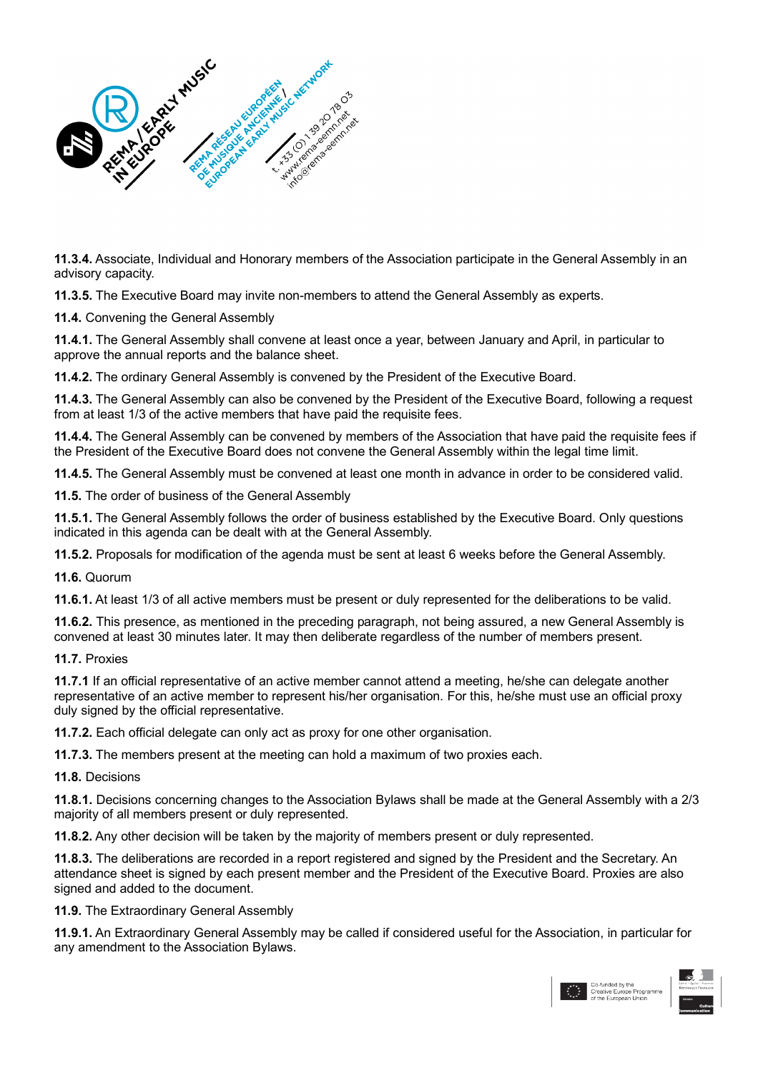

**11.3.4.** Associate, Individual and Honorary members of the Association participate in the General Assembly in an advisory capacity.

**11.3.5.** The Executive Board may invite non-members to attend the General Assembly as experts.

**11.4.** Convening the General Assembly

**11.4.1.** The General Assembly shall convene at least once a year, between January and April, in particular to approve the annual reports and the balance sheet.

**11.4.2.** The ordinary General Assembly is convened by the President of the Executive Board.

**11.4.3.** The General Assembly can also be convened by the President of the Executive Board, following a request from at least 1/3 of the active members that have paid the requisite fees.

**11.4.4.** The General Assembly can be convened by members of the Association that have paid the requisite fees if the President of the Executive Board does not convene the General Assembly within the legal time limit.

**11.4.5.** The General Assembly must be convened at least one month in advance in order to be considered valid.

**11.5.** The order of business of the General Assembly

**11.5.1.** The General Assembly follows the order of business established by the Executive Board. Only questions indicated in this agenda can be dealt with at the General Assembly.

**11.5.2.** Proposals for modification of the agenda must be sent at least 6 weeks before the General Assembly.

**11.6.** Quorum

**11.6.1.** At least 1/3 of all active members must be present or duly represented for the deliberations to be valid.

**11.6.2.** This presence, as mentioned in the preceding paragraph, not being assured, a new General Assembly is convened at least 30 minutes later. It may then deliberate regardless of the number of members present.

**11.7.** Proxies

**11.7.1** If an official representative of an active member cannot attend a meeting, he/she can delegate another representative of an active member to represent his/her organisation. For this, he/she must use an official proxy duly signed by the official representative.

**11.7.2.** Each official delegate can only act as proxy for one other organisation.

**11.7.3.** The members present at the meeting can hold a maximum of two proxies each.

**11.8.** Decisions

**11.8.1.** Decisions concerning changes to the Association Bylaws shall be made at the General Assembly with a 2/3 majority of all members present or duly represented.

**11.8.2.** Any other decision will be taken by the majority of members present or duly represented.

**11.8.3.** The deliberations are recorded in a report registered and signed by the President and the Secretary. An attendance sheet is signed by each present member and the President of the Executive Board. Proxies are also signed and added to the document.

**11.9.** The Extraordinary General Assembly

**11.9.1.** An Extraordinary General Assembly may be called if considered useful for the Association, in particular for any amendment to the Association Bylaws.

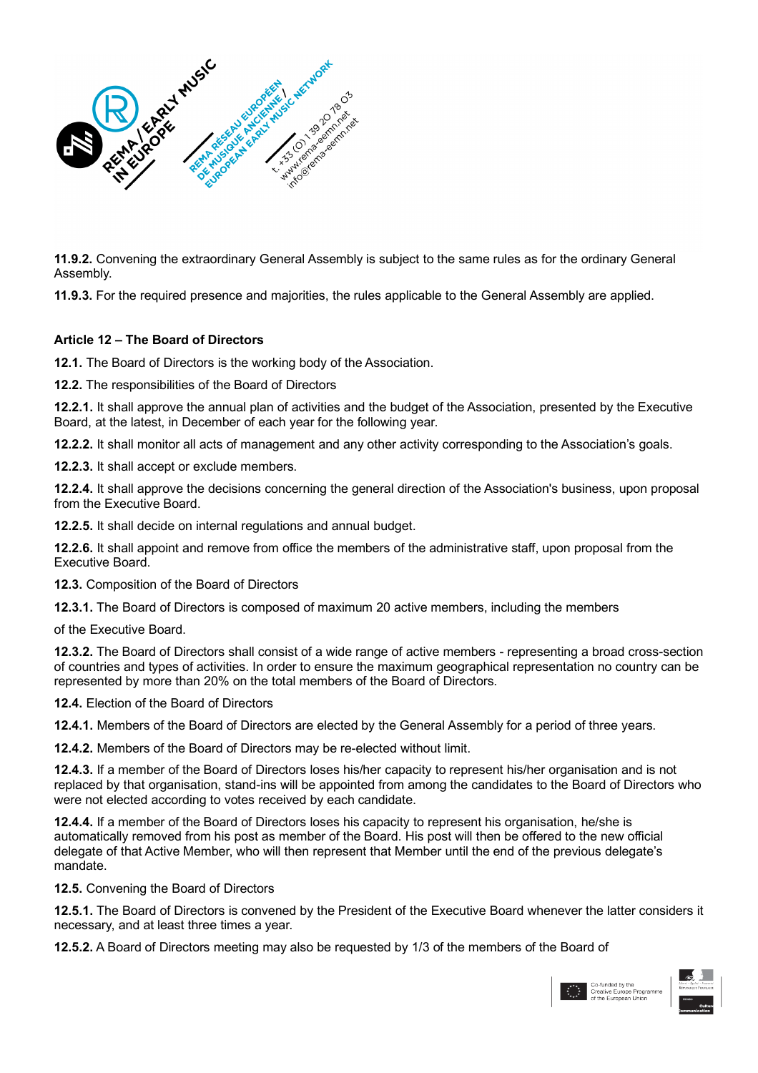

**11.9.2.** Convening the extraordinary General Assembly is subject to the same rules as for the ordinary General Assembly.

**11.9.3.** For the required presence and majorities, the rules applicable to the General Assembly are applied.

#### **Article 12 – The Board of Directors**

**12.1.** The Board of Directors is the working body of the Association.

**12.2.** The responsibilities of the Board of Directors

**12.2.1.** It shall approve the annual plan of activities and the budget of the Association, presented by the Executive Board, at the latest, in December of each year for the following year.

**12.2.2.** It shall monitor all acts of management and any other activity corresponding to the Association's goals.

**12.2.3.** It shall accept or exclude members.

**12.2.4.** It shall approve the decisions concerning the general direction of the Association's business, upon proposal from the Executive Board.

**12.2.5.** It shall decide on internal regulations and annual budget.

**12.2.6.** It shall appoint and remove from office the members of the administrative staff, upon proposal from the Executive Board.

**12.3.** Composition of the Board of Directors

**12.3.1.** The Board of Directors is composed of maximum 20 active members, including the members

of the Executive Board.

**12.3.2.** The Board of Directors shall consist of a wide range of active members - representing a broad cross-section of countries and types of activities. In order to ensure the maximum geographical representation no country can be represented by more than 20% on the total members of the Board of Directors.

**12.4.** Election of the Board of Directors

**12.4.1.** Members of the Board of Directors are elected by the General Assembly for a period of three years.

**12.4.2.** Members of the Board of Directors may be re-elected without limit.

**12.4.3.** If a member of the Board of Directors loses his/her capacity to represent his/her organisation and is not replaced by that organisation, stand-ins will be appointed from among the candidates to the Board of Directors who were not elected according to votes received by each candidate.

**12.4.4.** If a member of the Board of Directors loses his capacity to represent his organisation, he/she is automatically removed from his post as member of the Board. His post will then be offered to the new official delegate of that Active Member, who will then represent that Member until the end of the previous delegate's mandate.

**12.5.** Convening the Board of Directors

**12.5.1.** The Board of Directors is convened by the President of the Executive Board whenever the latter considers it necessary, and at least three times a year.

**12.5.2.** A Board of Directors meeting may also be requested by 1/3 of the members of the Board of

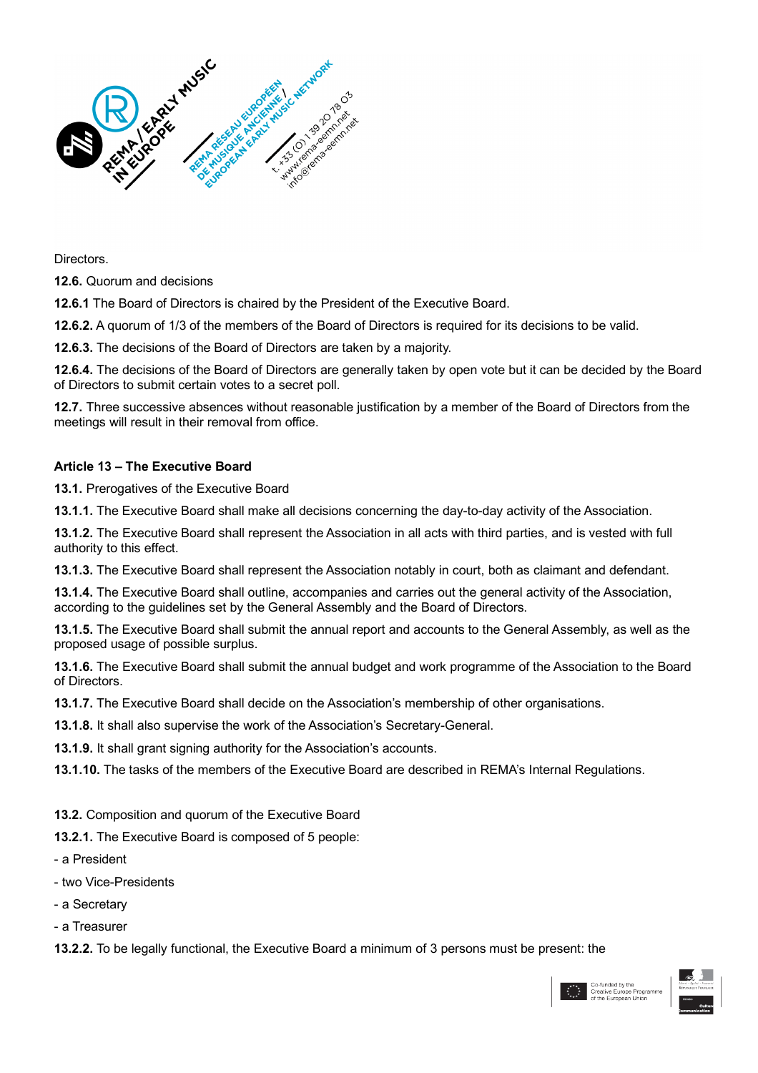

Directors.

**12.6.** Quorum and decisions

**12.6.1** The Board of Directors is chaired by the President of the Executive Board.

**12.6.2.** A quorum of 1/3 of the members of the Board of Directors is required for its decisions to be valid.

**12.6.3.** The decisions of the Board of Directors are taken by a majority.

**12.6.4.** The decisions of the Board of Directors are generally taken by open vote but it can be decided by the Board of Directors to submit certain votes to a secret poll.

**12.7.** Three successive absences without reasonable justification by a member of the Board of Directors from the meetings will result in their removal from office.

#### **Article 13 – The Executive Board**

**13.1.** Prerogatives of the Executive Board

**13.1.1.** The Executive Board shall make all decisions concerning the day-to-day activity of the Association.

**13.1.2.** The Executive Board shall represent the Association in all acts with third parties, and is vested with full authority to this effect.

**13.1.3.** The Executive Board shall represent the Association notably in court, both as claimant and defendant.

**13.1.4.** The Executive Board shall outline, accompanies and carries out the general activity of the Association, according to the guidelines set by the General Assembly and the Board of Directors.

**13.1.5.** The Executive Board shall submit the annual report and accounts to the General Assembly, as well as the proposed usage of possible surplus.

**13.1.6.** The Executive Board shall submit the annual budget and work programme of the Association to the Board of Directors.

**13.1.7.** The Executive Board shall decide on the Association's membership of other organisations.

**13.1.8.** It shall also supervise the work of the Association's Secretary-General.

**13.1.9.** It shall grant signing authority for the Association's accounts.

**13.1.10.** The tasks of the members of the Executive Board are described in REMA's Internal Regulations.

**13.2.** Composition and quorum of the Executive Board

**13.2.1.** The Executive Board is composed of 5 people:

- a President
- two Vice-Presidents
- a Secretary
- a Treasurer

**13.2.2.** To be legally functional, the Executive Board a minimum of 3 persons must be present: the

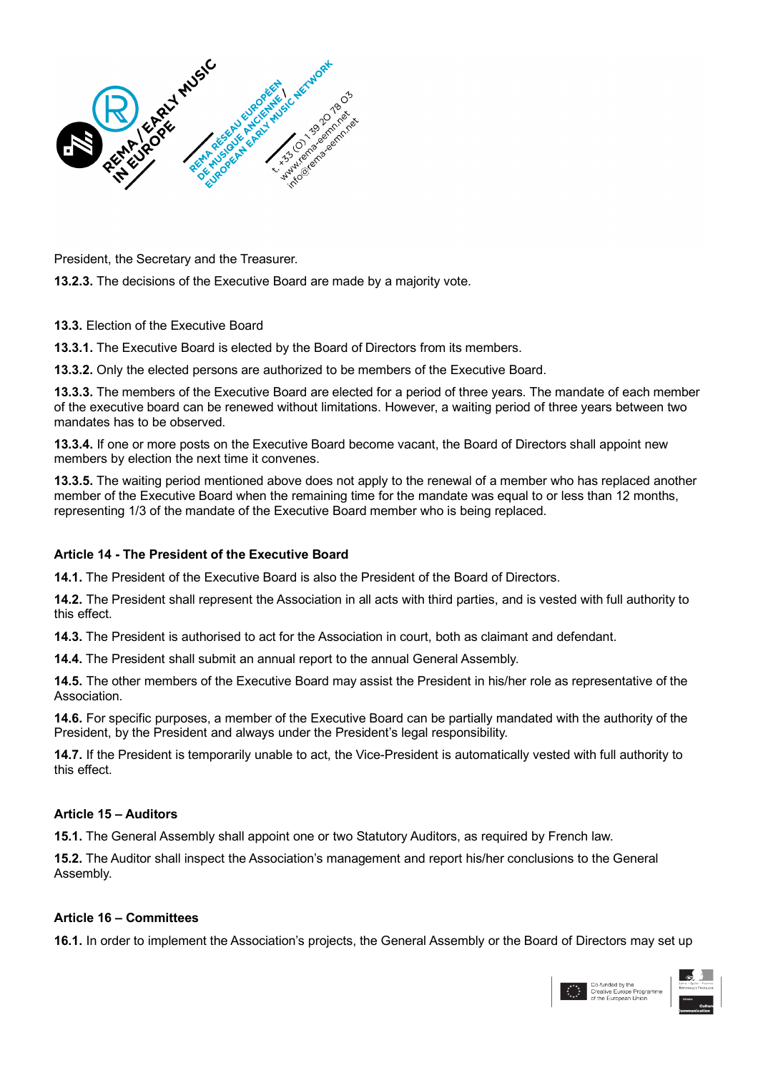

President, the Secretary and the Treasurer.

**13.2.3.** The decisions of the Executive Board are made by a majority vote.

**13.3.** Election of the Executive Board

**13.3.1.** The Executive Board is elected by the Board of Directors from its members.

**13.3.2.** Only the elected persons are authorized to be members of the Executive Board.

**13.3.3.** The members of the Executive Board are elected for a period of three years. The mandate of each member of the executive board can be renewed without limitations. However, a waiting period of three years between two mandates has to be observed.

**13.3.4.** If one or more posts on the Executive Board become vacant, the Board of Directors shall appoint new members by election the next time it convenes.

**13.3.5.** The waiting period mentioned above does not apply to the renewal of a member who has replaced another member of the Executive Board when the remaining time for the mandate was equal to or less than 12 months, representing 1/3 of the mandate of the Executive Board member who is being replaced.

#### **Article 14 - The President of the Executive Board**

**14.1.** The President of the Executive Board is also the President of the Board of Directors.

**14.2.** The President shall represent the Association in all acts with third parties, and is vested with full authority to this effect.

**14.3.** The President is authorised to act for the Association in court, both as claimant and defendant.

**14.4.** The President shall submit an annual report to the annual General Assembly.

**14.5.** The other members of the Executive Board may assist the President in his/her role as representative of the Association.

**14.6.** For specific purposes, a member of the Executive Board can be partially mandated with the authority of the President, by the President and always under the President's legal responsibility.

**14.7.** If the President is temporarily unable to act, the Vice-President is automatically vested with full authority to this effect.

#### **Article 15 – Auditors**

**15.1.** The General Assembly shall appoint one or two Statutory Auditors, as required by French law.

**15.2.** The Auditor shall inspect the Association's management and report his/her conclusions to the General Assembly.

#### **Article 16 – Committees**

**16.1.** In order to implement the Association's projects, the General Assembly or the Board of Directors may set up

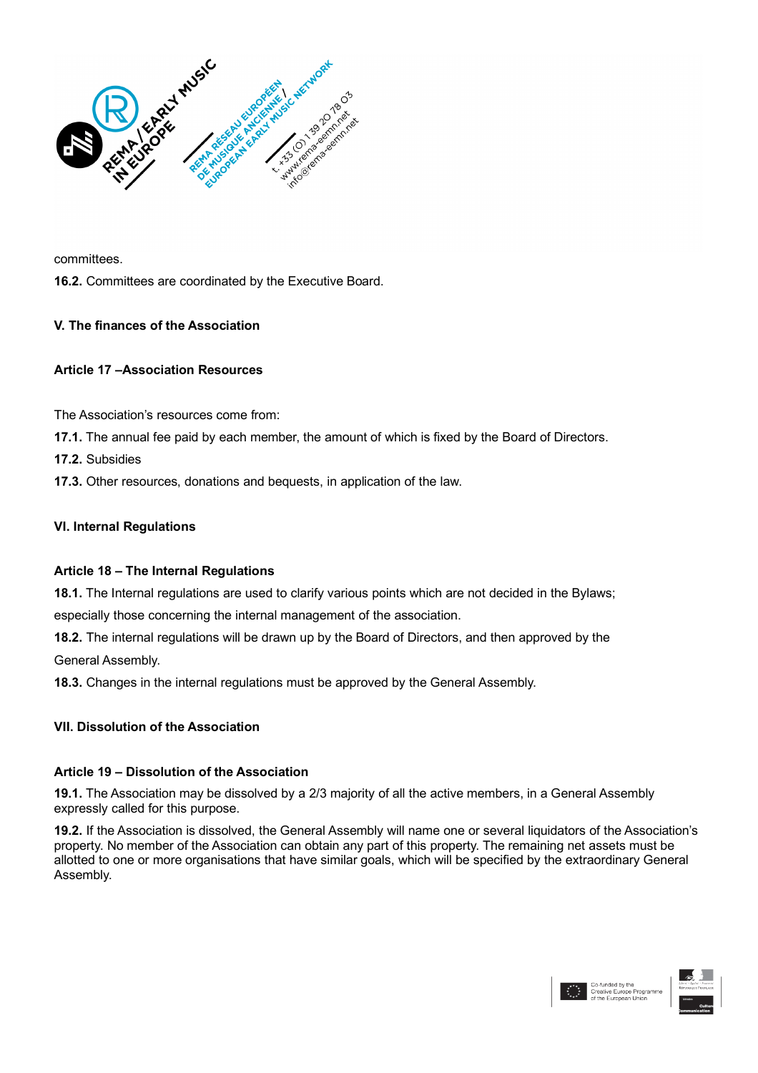

committees.

**16.2.** Committees are coordinated by the Executive Board.

# **V. The finances of the Association**

#### **Article 17 –Association Resources**

The Association's resources come from:

**17.1.** The annual fee paid by each member, the amount of which is fixed by the Board of Directors.

**17.2.** Subsidies

**17.3.** Other resources, donations and bequests, in application of the law.

# **VI. Internal Regulations**

#### **Article 18 – The Internal Regulations**

**18.1.** The Internal regulations are used to clarify various points which are not decided in the Bylaws;

especially those concerning the internal management of the association.

**18.2.** The internal regulations will be drawn up by the Board of Directors, and then approved by the General Assembly.

**18.3.** Changes in the internal regulations must be approved by the General Assembly.

#### **VII. Dissolution of the Association**

#### **Article 19 – Dissolution of the Association**

**19.1.** The Association may be dissolved by a 2/3 majority of all the active members, in a General Assembly expressly called for this purpose.

**19.2.** If the Association is dissolved, the General Assembly will name one or several liquidators of the Association's property. No member of the Association can obtain any part of this property. The remaining net assets must be allotted to one or more organisations that have similar goals, which will be specified by the extraordinary General Assembly.